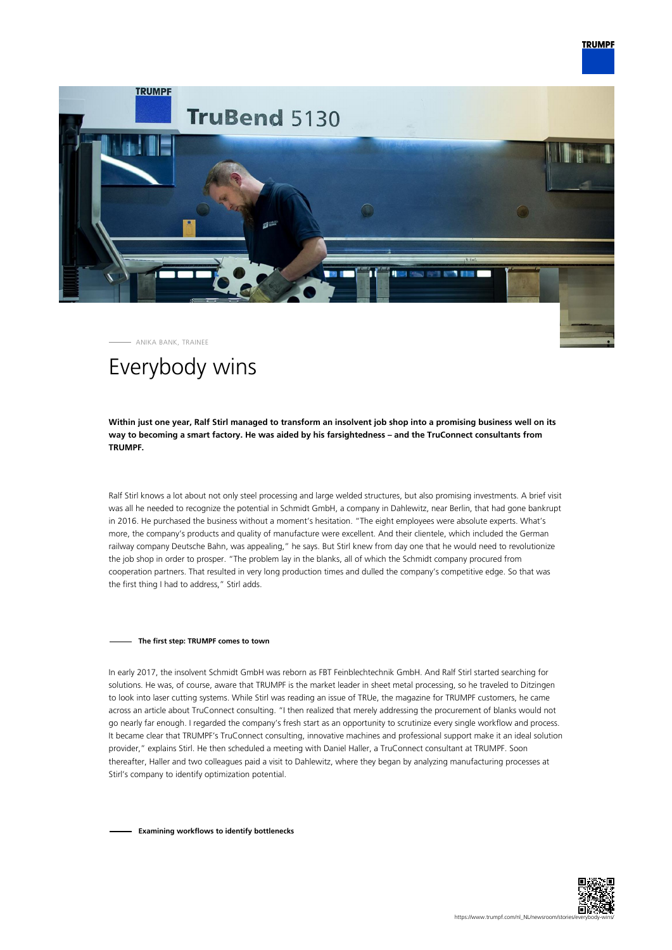



ANIKA BANK, TRAINEE

# Everybody wins

**Within just one year, Ralf Stirl managed to transform an insolvent job shop into a promising business well on its way to becoming a smart factory. He was aided by his farsightedness – and the TruConnect consultants from TRUMPF.**

Ralf Stirl knows a lot about not only steel processing and large welded structures, but also promising investments. A brief visit was all he needed to recognize the potential in Schmidt GmbH, a company in Dahlewitz, near Berlin, that had gone bankrupt in 2016. He purchased the business without a moment's hesitation. "The eight employees were absolute experts. What's more, the company's products and quality of manufacture were excellent. And their clientele, which included the German railway company Deutsche Bahn, was appealing," he says. But Stirl knew from day one that he would need to revolutionize the job shop in order to prosper. "The problem lay in the blanks, all of which the Schmidt company procured from cooperation partners. That resulted in very long production times and dulled the company's competitive edge. So that was the first thing I had to address," Stirl adds.

### **The first step: TRUMPF comes to town**

In early 2017, the insolvent Schmidt GmbH was reborn as FBT Feinblechtechnik GmbH. And Ralf Stirl started searching for solutions. He was, of course, aware that TRUMPF is the market leader in sheet metal processing, so he traveled to Ditzingen to look into laser cutting systems. While Stirl was reading an issue of TRUe, the magazine for TRUMPF customers, he came across an article about TruConnect consulting. "I then realized that merely addressing the procurement of blanks would not go nearly far enough. I regarded the company's fresh start as an opportunity to scrutinize every single workflow and process. It became clear that TRUMPF's TruConnect consulting, innovative machines and professional support make it an ideal solution provider," explains Stirl. He then scheduled a meeting with Daniel Haller, a TruConnect consultant at TRUMPF. Soon thereafter, Haller and two colleagues paid a visit to Dahlewitz, where they began by analyzing manufacturing processes at Stirl's company to identify optimization potential.

**Examining workflows to identify bottlenecks**

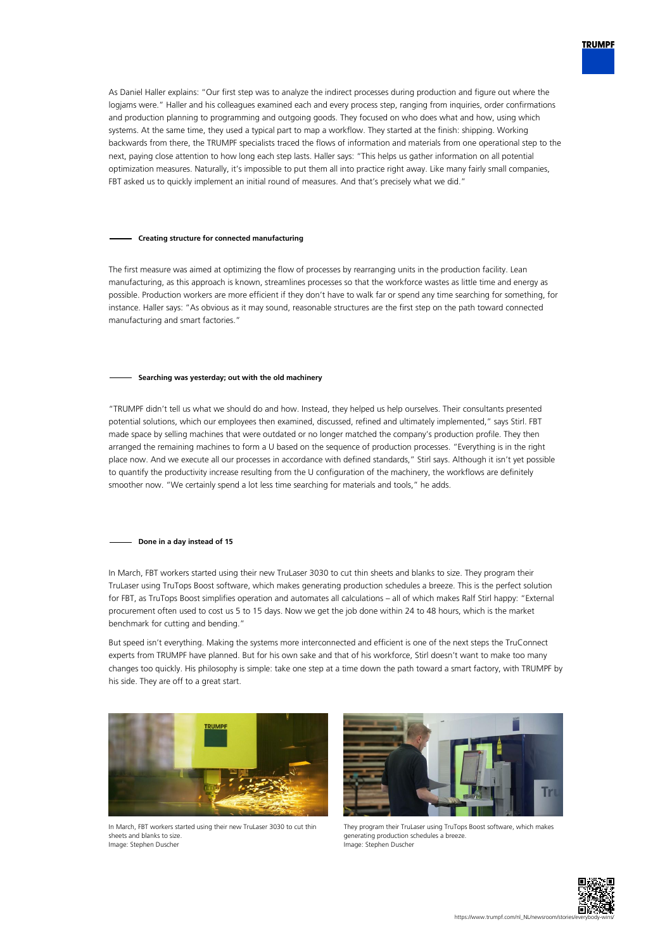

As Daniel Haller explains: "Our first step was to analyze the indirect processes during production and figure out where the logjams were." Haller and his colleagues examined each and every process step, ranging from inquiries, order confirmations and production planning to programming and outgoing goods. They focused on who does what and how, using which systems. At the same time, they used a typical part to map a workflow. They started at the finish: shipping. Working backwards from there, the TRUMPF specialists traced the flows of information and materials from one operational step to the next, paying close attention to how long each step lasts. Haller says: "This helps us gather information on all potential optimization measures. Naturally, it's impossible to put them all into practice right away. Like many fairly small companies, FBT asked us to quickly implement an initial round of measures. And that's precisely what we did."

### **Creating structure for connected manufacturing**

The first measure was aimed at optimizing the flow of processes by rearranging units in the production facility. Lean manufacturing, as this approach is known, streamlines processes so that the workforce wastes as little time and energy as possible. Production workers are more efficient if they don't have to walk far or spend any time searching for something, for instance. Haller says: "As obvious as it may sound, reasonable structures are the first step on the path toward connected manufacturing and smart factories."

## **Searching was yesterday; out with the old machinery**

"TRUMPF didn't tell us what we should do and how. Instead, they helped us help ourselves. Their consultants presented potential solutions, which our employees then examined, discussed, refined and ultimately implemented," says Stirl. FBT made space by selling machines that were outdated or no longer matched the company's production profile. They then arranged the remaining machines to form a U based on the sequence of production processes. "Everything is in the right place now. And we execute all our processes in accordance with defined standards," Stirl says. Although it isn't yet possible to quantify the productivity increase resulting from the U configuration of the machinery, the workflows are definitely smoother now. "We certainly spend a lot less time searching for materials and tools," he adds.

#### **Done in a day instead of 15**

In March, FBT workers started using their new TruLaser 3030 to cut thin sheets and blanks to size. They program their TruLaser using TruTops Boost software, which makes generating production schedules a breeze. This is the perfect solution for FBT, as TruTops Boost simplifies operation and automates all calculations – all of which makes Ralf Stirl happy: "External procurement often used to cost us 5 to 15 days. Now we get the job done within 24 to 48 hours, which is the market benchmark for cutting and bending."

But speed isn't everything. Making the systems more interconnected and efficient is one of the next steps the TruConnect experts from TRUMPF have planned. But for his own sake and that of his workforce, Stirl doesn't want to make too many changes too quickly. His philosophy is simple: take one step at a time down the path toward a smart factory, with TRUMPF by his side. They are off to a great start.



In March, FBT workers started using their new TruLaser 3030 to cut thin sheets and blanks to size. Image: Stephen Duscher



They program their TruLaser using TruTops Boost software, which makes generating production schedules a breeze. Image: Stephen Duscher